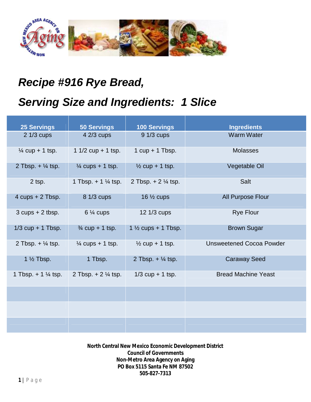

## *Recipe #916 Rye Bread,*

## *Serving Size and Ingredients: 1 Slice*

| <b>25 Servings</b>             | <b>50 Servings</b>             | <b>100 Servings</b>            | <b>Ingredients</b>              |
|--------------------------------|--------------------------------|--------------------------------|---------------------------------|
| $21/3$ cups                    | 4 2/3 cups                     | 9 1/3 cups                     | <b>Warm Water</b>               |
| $\frac{1}{4}$ cup + 1 tsp.     | 1 $1/2$ cup + 1 tsp.           | 1 $cup + 1$ Tbsp.              | <b>Molasses</b>                 |
| 2 Tbsp. $+$ $\frac{1}{4}$ tsp. | $\frac{1}{4}$ cups + 1 tsp.    | $\frac{1}{2}$ cup + 1 tsp.     | Vegetable Oil                   |
| 2 tsp.                         | 1 Tbsp. $+ 1 \frac{1}{4}$ tsp. | 2 Tbsp. $+ 2\frac{1}{4}$ tsp.  | Salt                            |
| 4 $cups + 2$ Tbsp.             | 8 1/3 cups                     | 16 $\frac{1}{2}$ cups          | All Purpose Flour               |
| $3$ cups $+2$ tbsp.            | $6\frac{1}{4}$ cups            | 12 1/3 cups                    | <b>Rye Flour</b>                |
| $1/3$ cup + 1 Tbsp.            | $\frac{3}{4}$ cup + 1 tsp.     | 1 $\frac{1}{2}$ cups + 1 Tbsp. | <b>Brown Sugar</b>              |
| 2 Tbsp. $+$ $\frac{1}{4}$ tsp. | $\frac{1}{4}$ cups + 1 tsp.    | $\frac{1}{2}$ cup + 1 tsp.     | <b>Unsweetened Cocoa Powder</b> |
| 1 $\frac{1}{2}$ Tbsp.          | 1 Tbsp.                        | 2 Tbsp. $+$ $\frac{1}{4}$ tsp. | <b>Caraway Seed</b>             |
| 1 Tbsp. $+ 1 \frac{1}{4}$ tsp. | 2 Tbsp. $+ 2\frac{1}{4}$ tsp.  | $1/3$ cup + 1 tsp.             | <b>Bread Machine Yeast</b>      |
|                                |                                |                                |                                 |
|                                |                                |                                |                                 |
|                                |                                |                                |                                 |

**North Central New Mexico Economic Development District Council of Governments Non-Metro Area Agency on Aging PO Box 5115 Santa Fe NM 87502 505-827-7313**